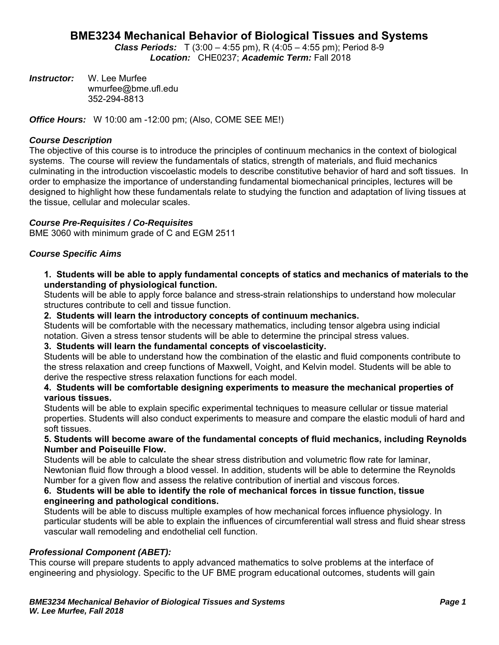# **BME3234 Mechanical Behavior of Biological Tissues and Systems**

*Class Periods:* T (3:00 – 4:55 pm), R (4:05 – 4:55 pm); Period 8-9 *Location:* CHE0237; *Academic Term:* Fall 2018

*Instructor:* W. Lee Murfee wmurfee@bme.ufl.edu 352-294-8813

*Office Hours:* W 10:00 am -12:00 pm; (Also, COME SEE ME!)

### *Course Description*

The objective of this course is to introduce the principles of continuum mechanics in the context of biological systems. The course will review the fundamentals of statics, strength of materials, and fluid mechanics culminating in the introduction viscoelastic models to describe constitutive behavior of hard and soft tissues. In order to emphasize the importance of understanding fundamental biomechanical principles, lectures will be designed to highlight how these fundamentals relate to studying the function and adaptation of living tissues at the tissue, cellular and molecular scales.

### *Course Pre-Requisites / Co-Requisites*

BME 3060 with minimum grade of C and EGM 2511

# *Course Specific Aims*

### **1. Students will be able to apply fundamental concepts of statics and mechanics of materials to the understanding of physiological function.**

Students will be able to apply force balance and stress-strain relationships to understand how molecular structures contribute to cell and tissue function.

#### **2. Students will learn the introductory concepts of continuum mechanics.**

Students will be comfortable with the necessary mathematics, including tensor algebra using indicial notation. Given a stress tensor students will be able to determine the principal stress values.

# **3. Students will learn the fundamental concepts of viscoelasticity.**

Students will be able to understand how the combination of the elastic and fluid components contribute to the stress relaxation and creep functions of Maxwell, Voight, and Kelvin model. Students will be able to derive the respective stress relaxation functions for each model.

### **4. Students will be comfortable designing experiments to measure the mechanical properties of various tissues.**

Students will be able to explain specific experimental techniques to measure cellular or tissue material properties. Students will also conduct experiments to measure and compare the elastic moduli of hard and soft tissues.

### **5. Students will become aware of the fundamental concepts of fluid mechanics, including Reynolds Number and Poiseuille Flow.**

Students will be able to calculate the shear stress distribution and volumetric flow rate for laminar, Newtonian fluid flow through a blood vessel. In addition, students will be able to determine the Reynolds Number for a given flow and assess the relative contribution of inertial and viscous forces.

### **6. Students will be able to identify the role of mechanical forces in tissue function, tissue engineering and pathological conditions.**

Students will be able to discuss multiple examples of how mechanical forces influence physiology. In particular students will be able to explain the influences of circumferential wall stress and fluid shear stress vascular wall remodeling and endothelial cell function.

#### *Professional Component (ABET):*

This course will prepare students to apply advanced mathematics to solve problems at the interface of engineering and physiology. Specific to the UF BME program educational outcomes, students will gain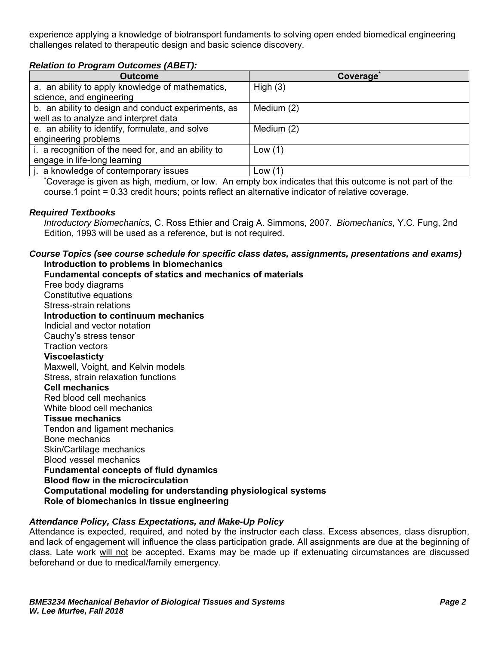experience applying a knowledge of biotransport fundaments to solving open ended biomedical engineering challenges related to therapeutic design and basic science discovery.

# *Relation to Program Outcomes (ABET):*

| <b>Outcome</b>                                                                                         | Coverage   |  |  |  |  |  |  |
|--------------------------------------------------------------------------------------------------------|------------|--|--|--|--|--|--|
| a. an ability to apply knowledge of mathematics,                                                       | High $(3)$ |  |  |  |  |  |  |
| science, and engineering                                                                               |            |  |  |  |  |  |  |
| b. an ability to design and conduct experiments, as                                                    | Medium (2) |  |  |  |  |  |  |
| well as to analyze and interpret data                                                                  |            |  |  |  |  |  |  |
| e. an ability to identify, formulate, and solve                                                        | Medium (2) |  |  |  |  |  |  |
| engineering problems                                                                                   |            |  |  |  |  |  |  |
| i. a recognition of the need for, and an ability to                                                    | Low $(1)$  |  |  |  |  |  |  |
| engage in life-long learning                                                                           |            |  |  |  |  |  |  |
| j. a knowledge of contemporary issues                                                                  | Low (1)    |  |  |  |  |  |  |
| Coverage is given as high, medium, or low. An empty box indicates that this outcome is not part of the |            |  |  |  |  |  |  |

course.1 point = 0.33 credit hours; points reflect an alternative indicator of relative coverage.

#### *Required Textbooks*

*Introductory Biomechanics,* C. Ross Ethier and Craig A. Simmons, 2007. *Biomechanics,* Y.C. Fung, 2nd Edition, 1993 will be used as a reference, but is not required.

### *Course Topics (see course schedule for specific class dates, assignments, presentations and exams)*  **Introduction to problems in biomechanics**

**Fundamental concepts of statics and mechanics of materials**  Free body diagrams Constitutive equations Stress-strain relations **Introduction to continuum mechanics**  Indicial and vector notation Cauchy's stress tensor Traction vectors **Viscoelasticty**  Maxwell, Voight, and Kelvin models Stress, strain relaxation functions **Cell mechanics**  Red blood cell mechanics White blood cell mechanics **Tissue mechanics**  Tendon and ligament mechanics Bone mechanics Skin/Cartilage mechanics Blood vessel mechanics **Fundamental concepts of fluid dynamics Blood flow in the microcirculation Computational modeling for understanding physiological systems Role of biomechanics in tissue engineering** 

# *Attendance Policy, Class Expectations, and Make-Up Policy*

Attendance is expected, required, and noted by the instructor each class. Excess absences, class disruption, and lack of engagement will influence the class participation grade. All assignments are due at the beginning of class. Late work will not be accepted. Exams may be made up if extenuating circumstances are discussed beforehand or due to medical/family emergency.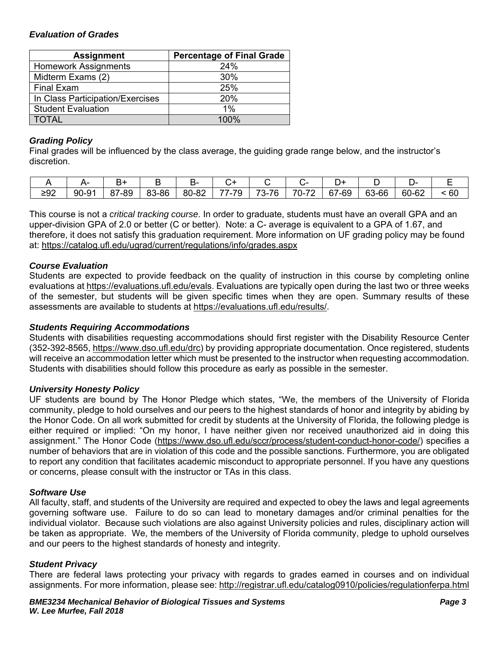# *Evaluation of Grades*

| <b>Assignment</b>                | <b>Percentage of Final Grade</b> |  |  |  |  |
|----------------------------------|----------------------------------|--|--|--|--|
| <b>Homework Assignments</b>      | 24%                              |  |  |  |  |
| Midterm Exams (2)                | 30%                              |  |  |  |  |
| <b>Final Exam</b>                | 25%                              |  |  |  |  |
| In Class Participation/Exercises | 20%                              |  |  |  |  |
| <b>Student Evaluation</b>        | $1\%$                            |  |  |  |  |
| <b>TOTAL</b>                     | 100%                             |  |  |  |  |

# *Grading Policy*

Final grades will be influenced by the class average, the guiding grade range below, and the instructor's discretion.

|           |       |                  |       | ∼     |                                            |                      |                                     |            |                    |       |    |
|-----------|-------|------------------|-------|-------|--------------------------------------------|----------------------|-------------------------------------|------------|--------------------|-------|----|
| ממ<<br>−ັ | 90-91 | 7-89<br>07<br>07 | 83-86 | 80-82 | $\overline{\phantom{a}}$<br>--<br>້<br>- 1 | 76<br>⇁⌒<br>∼-<br>ື້ | $\overline{\phantom{a}}$<br>⇁<br>∪- | '-69<br>67 | <b>63</b><br>63-66 | 60-62 | 60 |

This course is not a *critical tracking course*. In order to graduate, students must have an overall GPA and an upper-division GPA of 2.0 or better (C or better). Note: a C- average is equivalent to a GPA of 1.67, and therefore, it does not satisfy this graduation requirement. More information on UF grading policy may be found at: https://catalog.ufl.edu/ugrad/current/regulations/info/grades.aspx

# *Course Evaluation*

Students are expected to provide feedback on the quality of instruction in this course by completing online evaluations at https://evaluations.ufl.edu/evals. Evaluations are typically open during the last two or three weeks of the semester, but students will be given specific times when they are open. Summary results of these assessments are available to students at https://evaluations.ufl.edu/results/.

### *Students Requiring Accommodations*

Students with disabilities requesting accommodations should first register with the Disability Resource Center (352-392-8565, https://www.dso.ufl.edu/drc) by providing appropriate documentation. Once registered, students will receive an accommodation letter which must be presented to the instructor when requesting accommodation. Students with disabilities should follow this procedure as early as possible in the semester.

#### *University Honesty Policy*

UF students are bound by The Honor Pledge which states, "We, the members of the University of Florida community, pledge to hold ourselves and our peers to the highest standards of honor and integrity by abiding by the Honor Code. On all work submitted for credit by students at the University of Florida, the following pledge is either required or implied: "On my honor, I have neither given nor received unauthorized aid in doing this assignment." The Honor Code (https://www.dso.ufl.edu/sccr/process/student-conduct-honor-code/) specifies a number of behaviors that are in violation of this code and the possible sanctions. Furthermore, you are obligated to report any condition that facilitates academic misconduct to appropriate personnel. If you have any questions or concerns, please consult with the instructor or TAs in this class.

# *Software Use*

All faculty, staff, and students of the University are required and expected to obey the laws and legal agreements governing software use. Failure to do so can lead to monetary damages and/or criminal penalties for the individual violator. Because such violations are also against University policies and rules, disciplinary action will be taken as appropriate. We, the members of the University of Florida community, pledge to uphold ourselves and our peers to the highest standards of honesty and integrity.

#### *Student Privacy*

There are federal laws protecting your privacy with regards to grades earned in courses and on individual assignments. For more information, please see: http://registrar.ufl.edu/catalog0910/policies/regulationferpa.html